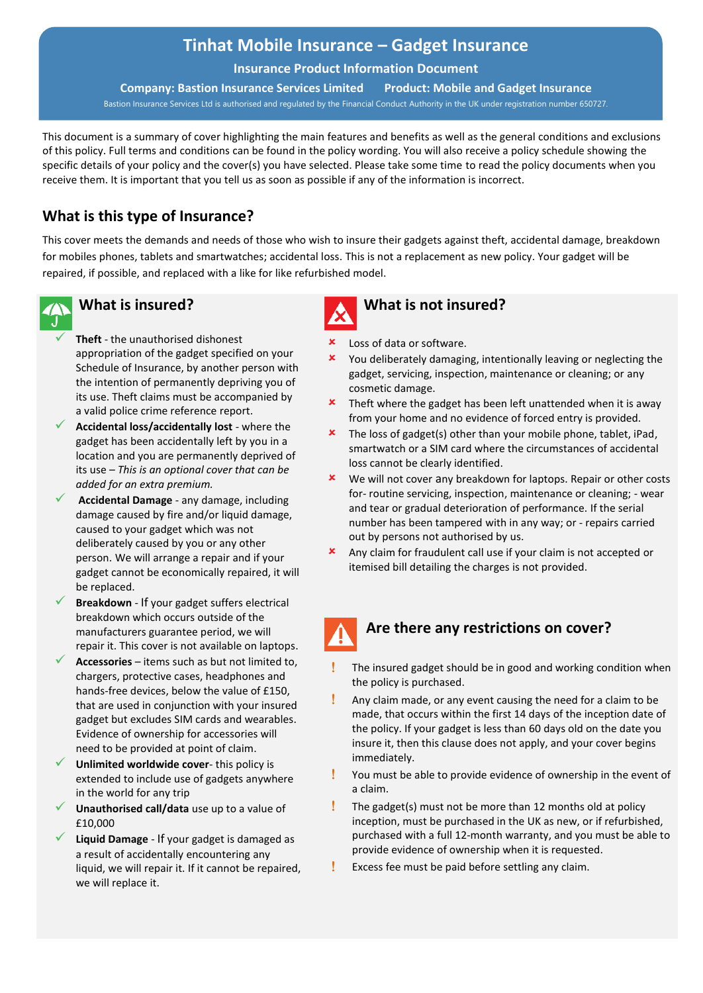# **Tinhat Mobile Insurance – Gadget Insurance**

**Insurance Product Information Document**

**Company: Bastion Insurance Services Limited Product: Mobile and Gadget Insurance** Bastion Insurance Services Ltd is authorised and regulated by the Financial Conduct Authority in the UK under registration number 650727.

This document is a summary of cover highlighting the main features and benefits as well as the general conditions and exclusions of this policy. Full terms and conditions can be found in the policy wording. You will also receive a policy schedule showing the specific details of your policy and the cover(s) you have selected. Please take some time to read the policy documents when you receive them. It is important that you tell us as soon as possible if any of the information is incorrect.

# **What is this type of Insurance?**

This cover meets the demands and needs of those who wish to insure their gadgets against theft, accidental damage, breakdown for mobiles phones, tablets and smartwatches; accidental loss. This is not a replacement as new policy. Your gadget will be repaired, if possible, and replaced with a like for like refurbished model.



## **What is insured?**

- Theft the unauthorised dishonest appropriation of the gadget specified on your Schedule of Insurance, by another person with the intention of permanently depriving you of its use. Theft claims must be accompanied by a valid police crime reference report.
- ✓ **Accidental loss/accidentally lost** where the gadget has been accidentally left by you in a location and you are permanently deprived of its use – *This is an optional cover that can be added for an extra premium.*
- ✓ **Accidental Damage** any damage, including damage caused by fire and/or liquid damage, caused to your gadget which was not deliberately caused by you or any other person. We will arrange a repair and if your gadget cannot be economically repaired, it will be replaced.
- **Breakdown** If your gadget suffers electrical breakdown which occurs outside of the manufacturers guarantee period, we will repair it. This cover is not available on laptops.
- Accessories items such as but not limited to, chargers, protective cases, headphones and hands-free devices, below the value of £150, that are used in conjunction with your insured gadget but excludes SIM cards and wearables. Evidence of ownership for accessories will need to be provided at point of claim.
- **Unlimited worldwide cover-** this policy is extended to include use of gadgets anywhere in the world for any trip
- Unauthorised call/data use up to a value of £10,000
- Liquid Damage If your gadget is damaged as a result of accidentally encountering any liquid, we will repair it. If it cannot be repaired, we will replace it.



#### **What is not insured?**

- **\*** Loss of data or software.
- You deliberately damaging, intentionally leaving or neglecting the gadget, servicing, inspection, maintenance or cleaning; or any cosmetic damage.
- $\frac{\text{L}}{\text{L}}$  Theft where the gadget has been left unattended when it is away from your home and no evidence of forced entry is provided.
- $\overline{\phantom{a}}$  The loss of gadget(s) other than your mobile phone, tablet, iPad, smartwatch or a SIM card where the circumstances of accidental loss cannot be clearly identified.
- **\*** We will not cover any breakdown for laptops. Repair or other costs for- routine servicing, inspection, maintenance or cleaning; - wear and tear or gradual deterioration of performance. If the serial number has been tampered with in any way; or - repairs carried out by persons not authorised by us.
- Any claim for fraudulent call use if your claim is not accepted or itemised bill detailing the charges is not provided.



## **Are there any restrictions on cover?**

- The insured gadget should be in good and working condition when the policy is purchased.
- $\frac{1}{2}$  Any claim made, or any event causing the need for a claim to be made, that occurs within the first 14 days of the inception date of the policy. If your gadget is less than 60 days old on the date you insure it, then this clause does not apply, and your cover begins immediately.
- You must be able to provide evidence of ownership in the event of a claim.
- $\frac{1}{2}$  The gadget(s) must not be more than 12 months old at policy inception, must be purchased in the UK as new, or if refurbished, purchased with a full 12-month warranty, and you must be able to provide evidence of ownership when it is requested.
- **Excess fee must be paid before settling any claim.**